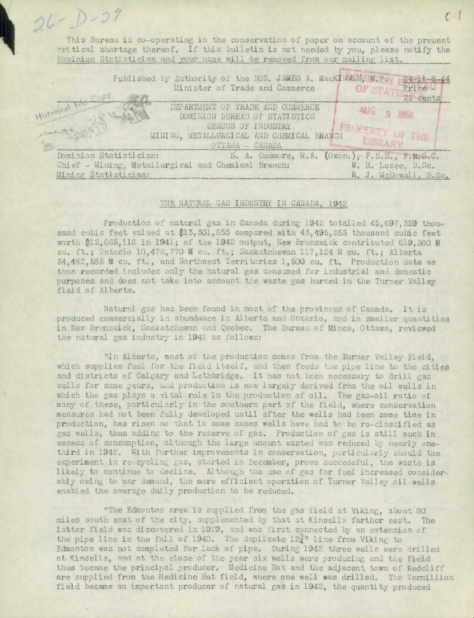(C - 1 - 2 7 This Bureau is co-operating in the conservation of paper on account of the present eritical shortage thereof. If this bulletin is not needed by you, please notify the Dominion Statistician and your name will be removed from our mailing list.

| Published by Authority of the HON. JAMES A. MacKINNON, M.P.<br>$64 - 11 - 8 - 44$<br>Minister of Trade and Commerce<br>Price -<br>OF STA<br>25 cents |  |
|------------------------------------------------------------------------------------------------------------------------------------------------------|--|
| Istorical File<br>DEPARTMENT OF TRADE AND COMMERCE<br><b>AUG 3 1950</b><br>DOMINION BUREAU OF STATISTICS                                             |  |
| CENSUS OF INDUSTRY<br>PERTY OF THE<br>MINING, METALLURGICAL AND CHEMICAL BRANCH<br>OTTAWA - CANADA                                                   |  |
| S. A. Cudmore, M.A. (Oxon.), F.S.S., F.R.S.C.<br>Dominion Statistician:                                                                              |  |
| Chief - Mining, Metallurgical and Chemical Branch:<br>W. H. Losee, B.Sc.                                                                             |  |
| Mining Statistician:<br>R. J. McDowall, B.Sc.                                                                                                        |  |

## THE NATURAL GAS INDUSTRY IN CANADA, 1942

Production of natural gas in Canada during 1942 totalled 45,697,359 thousand cubic feet valued at \$13,301,655 compared with 43,495,353 thousand cubic feet worth \$12,605,116 **in 1941;** of the 1942 output, New Brunswick contributed 619,380 M cu. ft.; Ontario 10,470,770 **U** cu. ft.; Saskatchewan 117,124 M cu. ft.; Alberta 34,482,585 M Cu. ft., and Northwest Territories 1,500 cu. ft. Production data as thus recorded includes only the natural gas consumed for industrial and domestic purposes and doos not take into account the waste gas burned in the Turner Valley field of Alberta.

Natural gas has been found in most of the provinces of Canada. It is produced commercially in abundance in Alberta and Ontario, and in smaller quantities in New Brunswick, Saskatchewan and Quebec. The Bureau of Mines, Ottawa, reviewed the natural gas industry in 1942 as follows:

"In Alberta, most of the production comes from the Thrner Valley Field, which supplies fuel for the field itself, and then feeds the pipe line to the cities and districts of Calgary and Lethbridge. It has not been necessary to drill gas wells for some years, and production is now largely derived from the oil wells in which the gas plays a vital role in the production of oil. The gas-oil ratio of many of these, particularly in the southern part of the field, where conservation measures had not been fully developed until after the wells had been some time in production, has risen so that in some cases wells have had to be re-classified as gas wells, thus adding to the reserve of gas. Production of gas is still much in excess of consumption, although the large amount wasted was reduced by nearly onethird in 1942. With further improvements in conservation, particularly should the experiment in re-cycling gas, started in December, prove successful, the waste is likely to continue to decline. Although the use of gas for fuel increased considerably owing to war demand, the more efficient operation of Turner Valley oil wells enabled the average daily production to be reduced.

"The Edmonton area is supplied from the gas field at Viking, about 80 miles south east of the city, siplernented by that at Kinsella farther east. The latter field was discovered in 1929, and was first connected by an extension of the pipe line in the fall of 1940. The duplicate  $12\frac{3}{4}$ " line from Viking to Edmonton was not completed for lack of pipe. During 1942 three wells were drilled at Kinsella, and at the close of the year six wells were producing and the field thus became the principal producer. Medicine Hat and the adjacent town of Redcliff are supplied from the Medicine Hat field, where one well was drilled. The Vermillion field became an important producer of natural gas in 1942, the quantity produced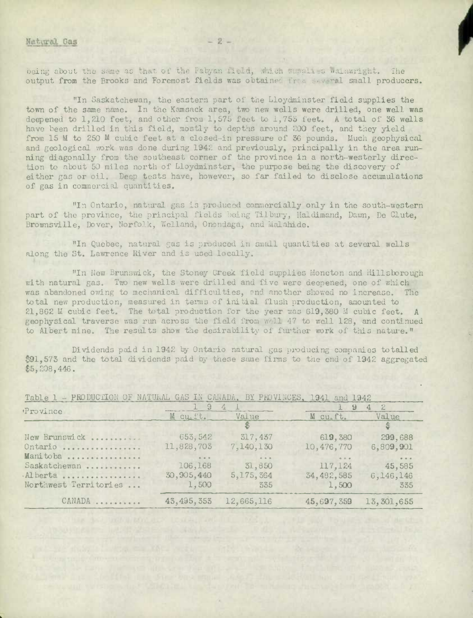being about the same as that of the Fabyan field, which supplies wainwright. The output from the Brooks and Foremost fields was obtained from several small producers.

"In Saskatchewan, the eastern part of the Lloydminster field supplies the town of the same name. In the Kamsack area, two new wells were drilled, one well was deepened to 1,210 feet, and other from 1,575 feet to 1,755 feet. A total of 36 wells have been drilled in this field, mostly to depths around 200 feet, and they yield from 15 M to 250 M cubic feet at a closed-in pressure of 36 pounds. Much geophysical and geological work was done during 1942 and previously, principally in the area running diagonally from the southeast corner of the province in a north-westerly direction to about 50 miles north of Lloydminster, the purpose being the discovery of either gas or oil. Deep tests have, however, so far failed to disclose accumulations of gas in commercial quantities.

"In Ontario, natural gas is produced commercially only in the south-western part of the province, the principal fields being Tilbury, Haldimand, Dawn, De Clute, Brownsville. Dover. Norfolk, Welland. Onondaga, and Malahide.

"In Quebec, natural gas is produced in small quantities at several wells along the St. Lawrence River and is used locally.

"In New Brunswick, the Stoney Creek field supplies Moncton and Hillsborough with natural gas. Two new wells were drilled and five were deepened, one of which was abandoned owing to mechanical difficulties, and another showed no increase. The total new production, measured in terms of initial flush production, amounted to 21.862 M cubic feet. The total production for the year was 619,380 M cubic feet. A geophysical traverse was run across the field from well 47 to well 128, and continued to Albert mine. The results show the desirability of further work of this nature."

Dividends paid in 1942 by Ontario natural gas producing companies totalled \$91,573 and the total dividends paid by these same firms to the end of 1942 aggregated  $$5,208,446.$ 

| Province              |                                                               | $\mathcal{L}_{\mathbb{R}}$ | 9                                  | $\frac{2}{2}$<br>4 |  |  |
|-----------------------|---------------------------------------------------------------|----------------------------|------------------------------------|--------------------|--|--|
|                       | M cu.ft.                                                      | Value                      | M cu <sub>e</sub> ft.              | Value              |  |  |
|                       |                                                               |                            |                                    | $\frac{1}{3}$      |  |  |
| New Brunswick         | 653, 542                                                      | 317,437                    | 619,380                            | 299,688            |  |  |
| Ontario               | 11,828,703                                                    | 7,140,130                  | 10,476,770                         | 6,809,901          |  |  |
| Manitoba              | $\begin{array}{ccc}\mbox{ii}&\mbox{ii}&\mbox{iii}\end{array}$ | 0.9.9                      | $\alpha \cdot \alpha \cdot \alpha$ | $0 - 0 - 0$        |  |  |
| Saskatchewan          | 106,168                                                       | 31,850                     | 117,124                            | 45,585             |  |  |
| Alberta               | 30,905,440                                                    | 5,175,364                  | 34, 482, 585                       | 6,146,146          |  |  |
| Northwest Territories | 1,500                                                         | 335                        | 1,500                              | 335                |  |  |
| CANADA                | 43, 495, 353                                                  | 12,665,116                 | 45,697,359                         | 13, 301, 655       |  |  |

UDO DUCHTON OF HABYLAL CAC TH CARACHE DV DIVINA WIDO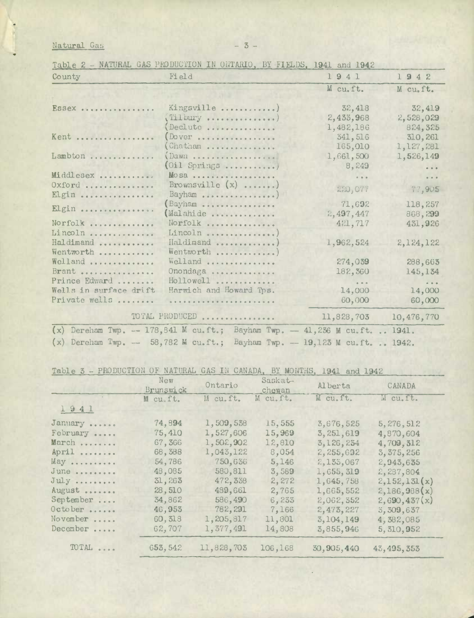Natural Gas

Table 2 - NATURAL GAS PRODUCTION IN ONTARIO, BY FIELDS, 1941 and 1942

| County                                  | Field                                                                        | 1941                       | 1942                    |
|-----------------------------------------|------------------------------------------------------------------------------|----------------------------|-------------------------|
|                                         |                                                                              | M cu.ft.                   | M cu.ft.                |
| ESSex                                   | Kingsville )<br>(Tilbury )                                                   | 32,418<br>2,433,968        | 32,419<br>2,528,029     |
| Kent                                    | Declute<br>Dover                                                             | 1,482,186<br>341,516       | 824, 325<br>310, 261    |
| Lambton                                 | Chatham<br>(Dawn                                                             | 165,010<br>1,661,500       | 1,127,281<br>1,526,149  |
| Middlesex<br>Oxford                     | (Oil Springs )<br>MOSA<br>Brownsville $(x)$                                  | 8,249<br>$-0.0$<br>220,077 | $\frac{1}{2}$<br>77,905 |
| Elgin<br>Elgin                          | Bayham )<br>Bayham<br>(Malahide                                              | 71,692<br>2,497,447        | 118,257<br>868,299      |
| Norfolk<br>Lincoln                      | Norfolk<br>Lincoln                                                           | 421,717                    | 431,926                 |
| Haldimand<br>Wentworth<br>Welland       | Haldimand )<br>Wentworth )<br>Welland                                        | 1,962,524<br>274,039       | 2,124,122<br>288,663    |
| Brant<br>Prince Edward                  | Onondaga<br>Hollowell                                                        | 182,360<br>$8 - 6 - 6$     | 145, 134                |
| Wells in surface drift<br>Private wells | Harwich and Howard Tps.                                                      | 14,000<br>60,000           | 14,000<br>60,000        |
|                                         | TOTAL PRODUCED                                                               | 11,828,703                 | 10,476,770              |
|                                         | (x) Dereham Twp. -- 178, 841 M cu.ft.; Bayham Twp. - 41, 236 M cu.ft.  1941. |                            |                         |
|                                         | (x) Dereham Twp. -- 58,782 M cu.ft.; Bayham Twp. -- 19,123 M cu.ft.  1942.   |                            |                         |

Table 3 - PRODUCTION OF NATURAL GAS IN CANADA, BY MONTHS, 1941 and 1942

|           | New<br>Brunswick | Ontario    | Saskat-<br>chewan | Al berta    | CANADA       |
|-----------|------------------|------------|-------------------|-------------|--------------|
|           | M cu.ft.         | M cu.ft.   | M cu.ft.          | M cu.ft.    | M cu.ft.     |
| 1941      |                  |            |                   |             |              |
| January   | 74,894           | 1,509,538  | 15,555            | 3,676,525   | 5, 276, 512  |
| February  | 75,410           | 1,527,606  | 15,969            | 3, 251, 619 | 4,870,604    |
| March     | 67,366           | 1,502,902  | 12,810            | 3,126,234   | 4,709,312    |
| April     | 68,388           | 1,043,122  | 8,054             | 2,255,692   | 3, 375, 256  |
| May       | 54,786           | 750,636    | 5,146             | 2,133,067   | 2,943,635    |
| June      | 48,085           | 580,811    | 3,589             | 1,655,319   | 2,287,804    |
| July      | 31,263           | 472, 338   | 2,272             | 1,645,758   | 2,152,131(x) |
| August    | 28,510           | 489,661    | 2,765             | 1,665,552   | 2,186,988(x) |
| September | 34,862           | 586,490    | 6,233             | 2,062,352   | 2,690,437(x) |
| October   | 46,953           | 782, 291   | 7,166             | 2,473,227   | 5,309,637    |
| November  | 60, 513          | 1,205,817  | 11,801            | 3, 104, 149 | 4,382,085    |
| December  | 62,707           | 1,377,491  | 14,808            | 3,855,946   | 5, 310, 952  |
| TOTAL     | 653, 542         | 11,828,703 | 106,168           | 30,905,440  | 43, 495, 353 |

 $-3-$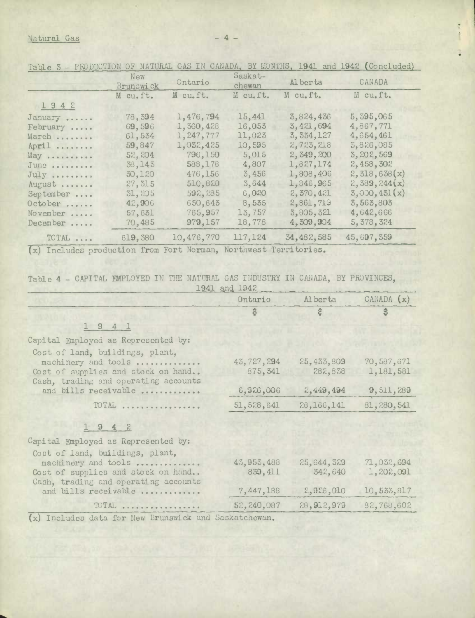## Natural Gas -4 -

|                                                                                                                                                                                                                                   | New<br>Brunswick | Ontario                                                                                                                                                                                                                                                                                  | Saskat-<br>chewan | Al berta     | CANADA       |
|-----------------------------------------------------------------------------------------------------------------------------------------------------------------------------------------------------------------------------------|------------------|------------------------------------------------------------------------------------------------------------------------------------------------------------------------------------------------------------------------------------------------------------------------------------------|-------------------|--------------|--------------|
|                                                                                                                                                                                                                                   | M cu.ft.         | M cu.ft.                                                                                                                                                                                                                                                                                 | M cu.ft.          | M cu.ft.     | M cu.ft.     |
| 1942                                                                                                                                                                                                                              |                  |                                                                                                                                                                                                                                                                                          |                   |              |              |
| January                                                                                                                                                                                                                           | 78,394           | 1,476,794                                                                                                                                                                                                                                                                                | 15,441            | 3,824,436    | 5, 395, 065  |
| February                                                                                                                                                                                                                          | 69,596           | 1,360,428                                                                                                                                                                                                                                                                                | 16,053            | 3,421,694    | 4,867,771    |
| March                                                                                                                                                                                                                             | 61,534           | 1,247,777                                                                                                                                                                                                                                                                                | 11,023            | 3, 334, 127  | 4,654,461    |
| $April \dots \dots$                                                                                                                                                                                                               | 59,847           | 1,032,425                                                                                                                                                                                                                                                                                | 10,595            | 2,723,218    | 5,826,085    |
| May                                                                                                                                                                                                                               | 52,204           | 796,150                                                                                                                                                                                                                                                                                  | 5,015             | 2,349,200    | 3, 202, 569  |
| $June$ $$                                                                                                                                                                                                                         | 38, 143          | 588,178                                                                                                                                                                                                                                                                                  | 4,807             | 1,827,174    | 2,458,302    |
| $July - \dots - \dots$                                                                                                                                                                                                            | 30,120           | 476,156                                                                                                                                                                                                                                                                                  | 3,456             | 1,808,406    | 2,318,638(x) |
| August                                                                                                                                                                                                                            | 27, 315          | 510,820                                                                                                                                                                                                                                                                                  | 3,644             | 1,846,965    | 2,389,244(x) |
| September                                                                                                                                                                                                                         | 31,205           | 592, 285                                                                                                                                                                                                                                                                                 | 6,020             | 2,370,421    | 3,000,431(x) |
| October                                                                                                                                                                                                                           | 42,906           | 650,643                                                                                                                                                                                                                                                                                  | 8,535             | 2,861,719    | 3,563,803    |
| November                                                                                                                                                                                                                          | 57,631           | 765,957                                                                                                                                                                                                                                                                                  | 13,757            | 3,805,321    | 4,642,666    |
| December                                                                                                                                                                                                                          | 70,485           | 979,157                                                                                                                                                                                                                                                                                  | 18,778            | 4,309,904    | 5, 378, 324  |
| TOTAL                                                                                                                                                                                                                             | 619,380          | 10,476,770                                                                                                                                                                                                                                                                               | 117, 124          | 34, 482, 585 | 45,697,359   |
| $\mathbb{Z}$ . The contract of the contract of the contract of the contract of the contract of the contract of the contract of the contract of the contract of the contract of the contract of the contract of the contract of th |                  | $\mathbb{R}^n$ and $\mathbb{R}^n$ are $\mathbb{R}^n$ and $\mathbb{R}^n$ and $\mathbb{R}^n$ are $\mathbb{R}^n$ and $\mathbb{R}^n$ are $\mathbb{R}^n$ and $\mathbb{R}^n$ are $\mathbb{R}^n$ and $\mathbb{R}^n$ are $\mathbb{R}^n$ and $\mathbb{R}^n$ are $\mathbb{R}^n$ and $\mathbb{R}^n$ |                   |              |              |

Table 3 - PRODUCTION OF NATURAL GAS IN CANADA, BY MONTHS, 1941 and 1942 (Concluded)

x) Includes production from Fort Norman, Northwest Territories.

Table 4 - CAPITAL EMPLOYED IN THE NATURAL GAS INDUSTRY IN CANADA, BY PROVINCES, 1941 and 1942

|                                                                                                                                                              | Ontario                               | Alberta                            | CANADA $(x)$                         |
|--------------------------------------------------------------------------------------------------------------------------------------------------------------|---------------------------------------|------------------------------------|--------------------------------------|
|                                                                                                                                                              | \$                                    | \$                                 | \$                                   |
| 1941                                                                                                                                                         |                                       |                                    |                                      |
| Capital Employed as Represented by:                                                                                                                          |                                       |                                    |                                      |
| Cost of land, buildings, plant,<br>machinery and tools<br>Cost of supplies and stock on hand<br>Cash, trading and operating accounts<br>and bills receivable | 43, 727, 294<br>875, 341<br>6,926,006 | 25,433,809<br>282,838<br>2,449,494 | 70,587,671<br>1,181,581<br>9,511,289 |
| TOTAL                                                                                                                                                        | 51, 528, 641                          | 28, 166, 141                       | 81, 280, 541                         |
| 1942                                                                                                                                                         |                                       |                                    |                                      |
| Capital Employed as Represented by:<br>Cost of land, buildings, plant,                                                                                       |                                       |                                    |                                      |
| machinery and tools<br>Cost of supplies and stock on hand<br>Cash, trading and operating accounts                                                            | 43, 953, 488<br>839, 411              | 25,644,329<br>342,640              | 71,032,694<br>1,202,091              |
| and bills receivable                                                                                                                                         | 7,447,188                             | 2,926,010                          | 10,533,817                           |
| TOTAL                                                                                                                                                        | 52,240,087                            | 28,912,979                         | 82,768,602                           |

(x) Includes data for New Brunswick and Saskatchewan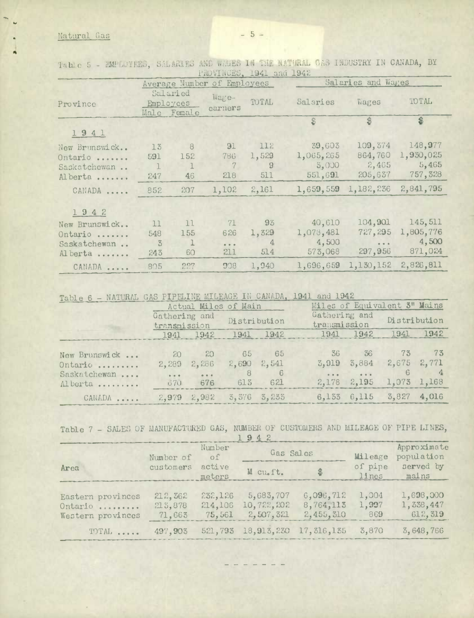## Matural Gas

|               |                                      |              |                  | LIMATMOND' TAUT THILL TAFE |           |                                                                                                                                                                                                                                                                                                                                                                                                                                |                    |  |
|---------------|--------------------------------------|--------------|------------------|----------------------------|-----------|--------------------------------------------------------------------------------------------------------------------------------------------------------------------------------------------------------------------------------------------------------------------------------------------------------------------------------------------------------------------------------------------------------------------------------|--------------------|--|
|               | Average Number of Employees          |              |                  |                            |           | Salaries and Wages                                                                                                                                                                                                                                                                                                                                                                                                             |                    |  |
| Province      | Salaried<br>Employees<br>Male Female |              | Wage-<br>earners | TOTAL                      | Salaries  | <b>Vages</b>                                                                                                                                                                                                                                                                                                                                                                                                                   | TOTAL              |  |
|               |                                      |              |                  |                            | $\hat{z}$ | $\hat{v}$                                                                                                                                                                                                                                                                                                                                                                                                                      | $\hat{\mathbf{s}}$ |  |
| 1941          |                                      |              |                  |                            |           |                                                                                                                                                                                                                                                                                                                                                                                                                                |                    |  |
| New Brunswick | 13                                   | 8            | 91               | 112                        | 39,603    | 109, 374                                                                                                                                                                                                                                                                                                                                                                                                                       | 148,977            |  |
| Ontario       | 591                                  | 152          | 786              | 1,529                      | 1,065,265 | 864,760                                                                                                                                                                                                                                                                                                                                                                                                                        | 1,930,025          |  |
| Saskatchewan  | $\mathbf{1}$                         | $\mathbf{I}$ | $\mathcal T$     | $\overline{9}$             | 5,000     | 2,465                                                                                                                                                                                                                                                                                                                                                                                                                          | 5,465              |  |
| Alberta       | 247                                  | 46           | 218              | 511                        | 551,691   | 205,637                                                                                                                                                                                                                                                                                                                                                                                                                        | 757, 328           |  |
| CANADA        | 852                                  | 207          | 1,102            | 2,161                      | 1,659,559 | 1,182,236                                                                                                                                                                                                                                                                                                                                                                                                                      | 2,841,795          |  |
| 1942          |                                      |              |                  |                            |           |                                                                                                                                                                                                                                                                                                                                                                                                                                |                    |  |
| New Brunswick | 11                                   | 11           | 71               | 93                         | 40,610    | 104,901                                                                                                                                                                                                                                                                                                                                                                                                                        | 145, 511           |  |
| Ontario       | 548                                  | 155          | 626              | 1,329                      | 1,078,481 | 727, 295                                                                                                                                                                                                                                                                                                                                                                                                                       | 1,805,776          |  |
| Saskatchewan  | 3                                    | $\mathbf{1}$ | $\frac{1}{2}$    | $\mathbf{4}$               | 4,500     | $\begin{array}{c c} \hline \textbf{1} & \textbf{1} & \textbf{1} & \textbf{1} & \textbf{1} & \textbf{1} & \textbf{1} & \textbf{1} & \textbf{1} & \textbf{1} & \textbf{1} & \textbf{1} & \textbf{1} & \textbf{1} & \textbf{1} & \textbf{1} & \textbf{1} & \textbf{1} & \textbf{1} & \textbf{1} & \textbf{1} & \textbf{1} & \textbf{1} & \textbf{1} & \textbf{1} & \textbf{1} & \textbf{1} & \textbf{1} & \textbf{1} & \textbf{1$ | 4,500              |  |
| Alberta       | 243                                  | 60           | 211              | 514                        | 573,068   | 297,956                                                                                                                                                                                                                                                                                                                                                                                                                        | 871,024            |  |
| CANADA        | 805                                  | 227          | 908              | 1,940                      | 1,696,659 | 1,130,152                                                                                                                                                                                                                                                                                                                                                                                                                      | 2,826,811          |  |

Table 5 - EMPLOTEES, SALARIES AND WAGES IN THE NATURAL GAS INDUSTRY IN CANADA, BY

Table 6 - NATURAL GAS PIPELINE MILEAGE IN CANADA, 1941 and 1942

|                         |                               |                     | Actual Miles of Main            |              |           | Miles of Equivalent 3" Mains  |                                 |              |  |
|-------------------------|-------------------------------|---------------------|---------------------------------|--------------|-----------|-------------------------------|---------------------------------|--------------|--|
|                         | Gathering and<br>transmission |                     |                                 | Distribution |           | Gathering and<br>transmission |                                 | Distribution |  |
|                         |                               |                     | 1941 1942 1941 1942             |              |           | 1941 1942                     | 1941                            | 1942         |  |
| New Brunswick           | 20                            | 20                  |                                 | 65 65        |           | 36 36                         | 73 73                           |              |  |
| Ontario                 | 2,289                         | 2,286               | $2,690$ $2,541$                 |              | 3,919     | 3,884                         | 2,675                           | 2,771        |  |
| Saskatchewan<br>Alberta | $-0.000$                      | $\cdots$<br>670 676 | 8<br>613                        | -6<br>621    | $-0.0001$ | $\cdots$<br>$2,178$ $2,195$   | 1,073 1,168                     |              |  |
| CANADA                  |                               |                     | $2,979$ $2,982$ $3,576$ $3,253$ |              |           |                               | $6,153$ $6,115$ $3,827$ $4,016$ |              |  |

Table 7 - SALES OF MANUFACTURED GAS, NUMBER OF CUSTOMERS AND MILEAGE OF PIPE LINES,

|                                                   |                               |                              | $T$ af $C$                           |                                     |                       |                                   |  |
|---------------------------------------------------|-------------------------------|------------------------------|--------------------------------------|-------------------------------------|-----------------------|-----------------------------------|--|
|                                                   | Number of                     | Number<br>of                 | Gas Salcs                            |                                     | Mileage               | Approximate<br>population         |  |
| Area                                              | customers<br>active<br>meters |                              | M cu.ft.                             |                                     | of pipe<br>lines      | served by<br>mains                |  |
| Eastern provinces<br>Ontario<br>Western provinces | 212,362<br>213,878<br>71,663  | 232,126<br>214,106<br>75,561 | 5,683,707<br>10,722,202<br>2,507,321 | 6,096,712<br>8,764,113<br>2,455,310 | 1,004<br>1,997<br>869 | 1,698,000<br>1,338,447<br>612.319 |  |
| TOTAL                                             | 497,903                       |                              | 521, 793 18, 913, 230 17, 316, 135   |                                     | 3,870                 | 3,648,766                         |  |